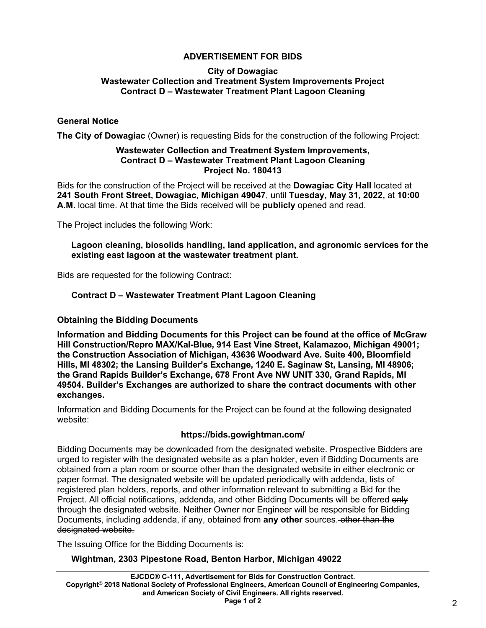# **ADVERTISEMENT FOR BIDS**

#### **City of Dowagiac Wastewater Collection and Treatment System Improvements Project Contract D – Wastewater Treatment Plant Lagoon Cleaning**

### **General Notice**

**The City of Dowagiac** (Owner) is requesting Bids for the construction of the following Project:

#### **Wastewater Collection and Treatment System Improvements, Contract D – Wastewater Treatment Plant Lagoon Cleaning Project No. 180413**

Bids for the construction of the Project will be received at the **Dowagiac City Hall** located at **241 South Front Street, Dowagiac, Michigan 49047**, until **Tuesday, May 31, 2022,** at **10:00 A.M.** local time. At that time the Bids received will be **publicly** opened and read.

The Project includes the following Work:

**Lagoon cleaning, biosolids handling, land application, and agronomic services for the existing east lagoon at the wastewater treatment plant.** 

Bids are requested for the following Contract:

## **Contract D – Wastewater Treatment Plant Lagoon Cleaning**

### **Obtaining the Bidding Documents**

**Information and Bidding Documents for this Project can be found at the office of McGraw Hill Construction/Repro MAX/Kal-Blue, 914 East Vine Street, Kalamazoo, Michigan 49001; the Construction Association of Michigan, 43636 Woodward Ave. Suite 400, Bloomfield Hills, MI 48302; the Lansing Builder's Exchange, 1240 E. Saginaw St, Lansing, MI 48906; the Grand Rapids Builder's Exchange, 678 Front Ave NW UNIT 330, Grand Rapids, MI 49504. Builder's Exchanges are authorized to share the contract documents with other exchanges.**

Information and Bidding Documents for the Project can be found at the following designated website:

### **https://bids.gowightman.com/**

Bidding Documents may be downloaded from the designated website. Prospective Bidders are urged to register with the designated website as a plan holder, even if Bidding Documents are obtained from a plan room or source other than the designated website in either electronic or paper format. The designated website will be updated periodically with addenda, lists of registered plan holders, reports, and other information relevant to submitting a Bid for the Project. All official notifications, addenda, and other Bidding Documents will be offered only through the designated website. Neither Owner nor Engineer will be responsible for Bidding Documents, including addenda, if any, obtained from **any other** sources. other than the designated website.

The Issuing Office for the Bidding Documents is:

### **Wightman, 2303 Pipestone Road, Benton Harbor, Michigan 49022**